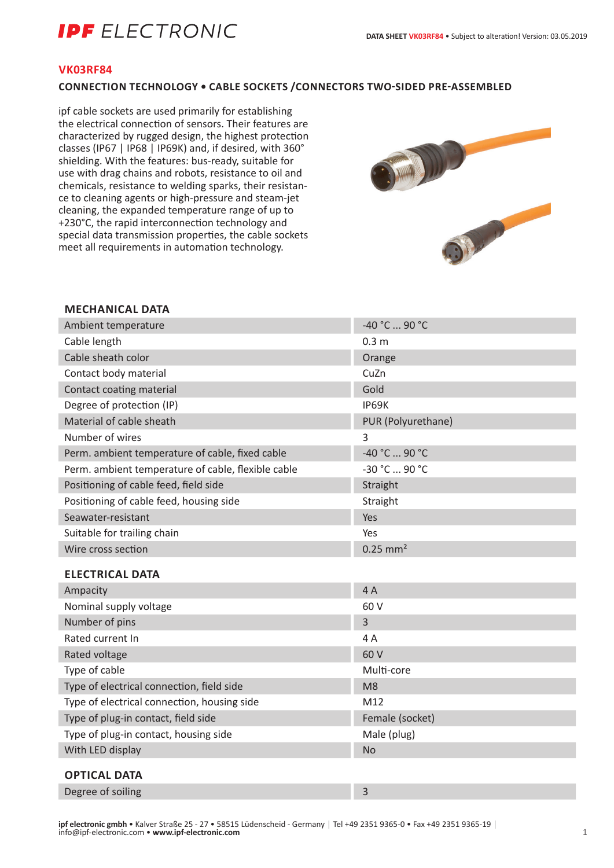# **IPF** ELECTRONIC

#### **VK03RF84**

### **CONNECTION TECHNOLOGY • CABLE SOCKETS /CONNECTORS TWO-SIDED PRE-ASSEMBLED**

ipf cable sockets are used primarily for establishing the electrical connection of sensors. Their features are characterized by rugged design, the highest protection classes (IP67 | IP68 | IP69K) and, if desired, with 360° shielding. With the features: bus-ready, suitable for use with drag chains and robots, resistance to oil and chemicals, resistance to welding sparks, their resistance to cleaning agents or high-pressure and steam-jet cleaning, the expanded temperature range of up to +230°C, the rapid interconnection technology and special data transmission properties, the cable sockets meet all requirements in automation technology.



#### **MECHANICAL DATA**

| Ambient temperature                                | -40 °C  90 °C          |
|----------------------------------------------------|------------------------|
| Cable length                                       | 0.3 <sub>m</sub>       |
| Cable sheath color                                 | Orange                 |
| Contact body material                              | CuZn                   |
| Contact coating material                           | Gold                   |
| Degree of protection (IP)                          | IP69K                  |
| Material of cable sheath                           | PUR (Polyurethane)     |
| Number of wires                                    | 3                      |
| Perm. ambient temperature of cable, fixed cable    | -40 °C  90 °C          |
| Perm. ambient temperature of cable, flexible cable | -30 °C  90 °C          |
| Positioning of cable feed, field side              | Straight               |
| Positioning of cable feed, housing side            | Straight               |
| Seawater-resistant                                 | Yes                    |
| Suitable for trailing chain                        | Yes                    |
| Wire cross section                                 | $0.25$ mm <sup>2</sup> |
| <b>ELECTRICAL DATA</b>                             |                        |
| Ampacity                                           | 4A                     |
| Nominal supply voltage                             | 60 V                   |
| Number of pins                                     | 3                      |
| Rated current In                                   | 4A                     |
| Rated voltage                                      | 60 V                   |
| Type of cable                                      | Multi-core             |
| Type of electrical connection, field side          | M <sub>8</sub>         |
| Type of electrical connection, housing side        | M12                    |
| Type of plug-in contact, field side                | Female (socket)        |
| Type of plug-in contact, housing side              | Male (plug)            |
| With LED display                                   | <b>No</b>              |
| <b>OPTICAL DATA</b>                                |                        |
|                                                    |                        |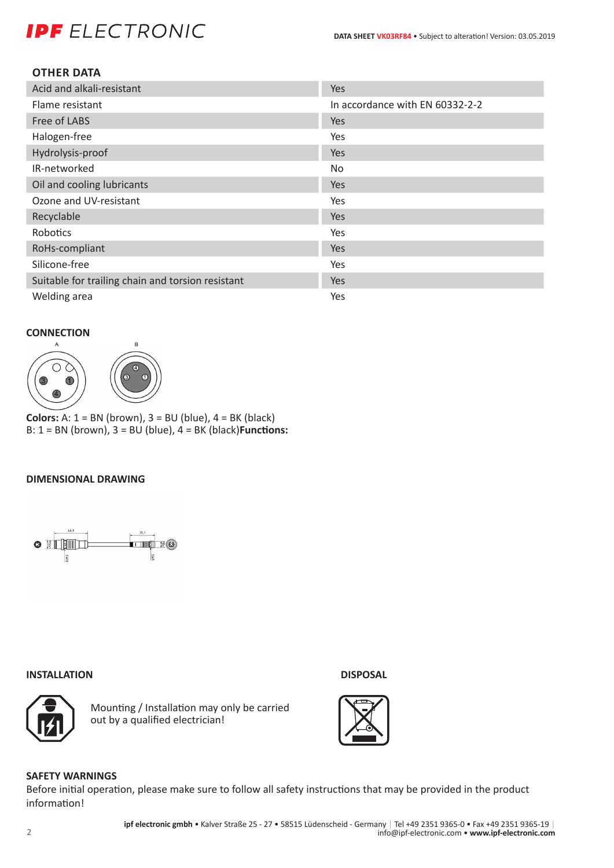# **IPF** ELECTRONIC

### **OTHER DATA**

| Acid and alkali-resistant                         | Yes                             |
|---------------------------------------------------|---------------------------------|
| Flame resistant                                   | In accordance with EN 60332-2-2 |
| Free of LABS                                      | <b>Yes</b>                      |
| Halogen-free                                      | Yes                             |
| Hydrolysis-proof                                  | <b>Yes</b>                      |
| IR-networked                                      | No.                             |
| Oil and cooling lubricants                        | <b>Yes</b>                      |
| Ozone and UV-resistant                            | Yes                             |
| Recyclable                                        | Yes                             |
| Robotics                                          | Yes                             |
| RoHs-compliant                                    | <b>Yes</b>                      |
| Silicone-free                                     | Yes                             |
| Suitable for trailing chain and torsion resistant | Yes                             |
| Welding area                                      | Yes                             |

# **CONNECTION**



**Colors:** A: 1 = BN (brown), 3 = BU (blue), 4 = BK (black) B: 1 = BN (brown), 3 = BU (blue), 4 = BK (black)**Functions:**

# **DIMENSIONAL DRAWING**



#### **INSTALLATION DISPOSAL**



Mounting / Installation may only be carried out by a qualified electrician!



# **SAFETY WARNINGS**

Before initial operation, please make sure to follow all safety instructions that may be provided in the product information!